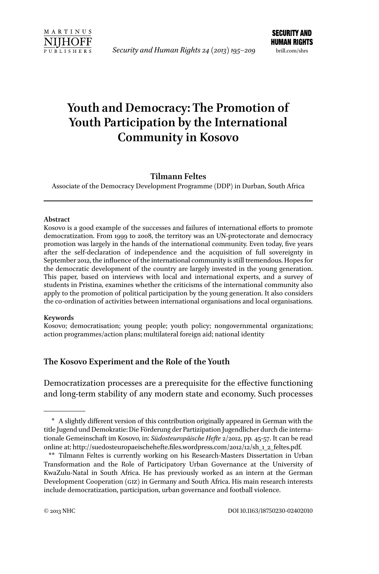

*Security and Human Rights 24 (2013) 195–209*

# **Youth and Democracy: The Promotion of Youth Participation by the International Community in Kosovo**

# **Tilmann Feltes**

Associate of the Democracy Development Programme (DDP) in Durban, South Africa

#### **Abstract**

Kosovo is a good example of the successes and failures of international efforts to promote democratization. From 1999 to 2008, the territory was an UN-protectorate and democracy promotion was largely in the hands of the international community. Even today, five years after the self-declaration of independence and the acquisition of full sovereignty in September 2012, the influence of the international community is still tremendous. Hopes for the democratic development of the country are largely invested in the young generation. This paper, based on interviews with local and international experts, and a survey of students in Pristina, examines whether the criticisms of the international community also apply to the promotion of political participation by the young generation. It also considers the co-ordination of activities between international organisations and local organisations.

#### **Keywords**

Kosovo; democratisation; young people; youth policy; nongovernmental organizations; action programmes/action plans; multilateral foreign aid; national identity

# **The Kosovo Experiment and the Role of the Youth**

Democratization processes are a prerequisite for the effective functioning and long-term stability of any modern state and economy. Such processes

<sup>\*</sup> A slightly different version of this contribution originally appeared in German with the title Jugend und Demokratie: Die Förderung der Partizipation Jugendlicher durch die internationale Gemeinschaft im Kosovo, in: *Südosteuropäische Hefte* 2/2012, pp. 45-57. It can be read online at: [http://suedosteuropaeischehefte.files.wordpress.com/2012/12/sh\\_1\\_2\\_feltes.pdf.](http://suedosteuropaeischehefte.files.wordpress.com/2012/12/sh_1_2_feltes.pdf)

<sup>\*\*</sup> Tilmann Feltes is currently working on his Research-Masters Dissertation in Urban Transformation and the Role of Participatory Urban Governance at the University of KwaZulu-Natal in South Africa. He has previously worked as an intern at the German Development Cooperation (giz) in Germany and South Africa. His main research interests include democratization, participation, urban governance and football violence.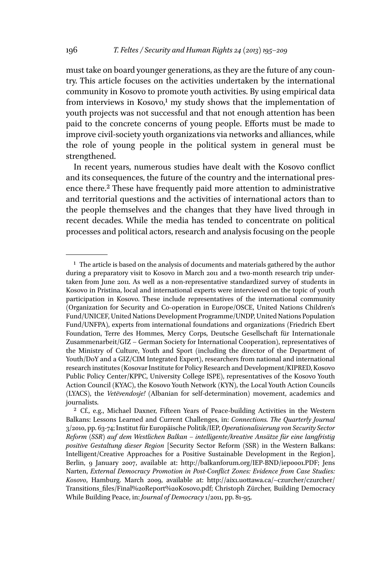must take on board younger generations, as they are the future of any country. This article focuses on the activities undertaken by the international community in Kosovo to promote youth activities. By using empirical data from interviews in Kosovo, $1$  my study shows that the implementation of youth projects was not successful and that not enough attention has been paid to the concrete concerns of young people. Efforts must be made to improve civil-society youth organizations via networks and alliances, while the role of young people in the political system in general must be strengthened.

In recent years, numerous studies have dealt with the Kosovo conflict and its consequences, the future of the country and the international presence there.<sup>2</sup> These have frequently paid more attention to administrative and territorial questions and the activities of international actors than to the people themselves and the changes that they have lived through in recent decades. While the media has tended to concentrate on political processes and political actors, research and analysis focusing on the people

<sup>&</sup>lt;sup>1</sup> The article is based on the analysis of documents and materials gathered by the author during a preparatory visit to Kosovo in March 2011 and a two-month research trip undertaken from June 2011. As well as a non-representative standardized survey of students in Kosovo in Pristina, local and international experts were interviewed on the topic of youth participation in Kosovo. These include representatives of the international community (Organization for Security and Co-operation in Europe/OSCE, United Nations Children's Fund/UNICEF, United Nations Development Programme/UNDP, United Nations Population Fund/UNFPA), experts from international foundations and organizations (Friedrich Ebert Foundation, Terre des Hommes, Mercy Corps, Deutsche Gesellschaft für Internationale Zusammenarbeit/GIZ – German Society for International Cooperation), representatives of the Ministry of Culture, Youth and Sport (including the director of the Department of Youth/DoY and a GIZ/CIM Integrated Expert), researchers from national and international research institutes (Kosovar Institute for Policy Research and Development/KIPRED, Kosovo Public Policy Center/KPPC, University College ISPE), representatives of the Kosovo Youth Action Council (KYAC), the Kosovo Youth Network (KYN), the Local Youth Action Councils (LYACS), the *Vetëvendosje!* (Albanian for self-determination) movement, academics and journalists.

<sup>2</sup> Cf., e.g., Michael Daxner, Fifteen Years of Peace-building Activities in the Western Balkans: Lessons Learned and Current Challenges, in: *Connections. The Quarterly Journal* 3/2010, pp. 63-74; Institut für Europäische Politik/IEP, *Operationalisierung von Security Sector Reform (SSR) auf dem Westlichen Balkan – intelligente/kreative Ansätze für eine langfristig positive Gestaltung dieser Region* [Security Sector Reform (SSR) in the Western Balkans: Intelligent/Creative Approaches for a Positive Sustainable Development in the Region], Berlin, 9 January 2007, available at: <http://balkanforum.org/IEP-BND/iep0001.PDF>; Jens Narten, *External Democracy Promotion in Post-Conflict Zones: Evidence from Case Studies: Kosovo*, Hamburg. March 2009, available at: [http://aix1.uottawa.ca/~czurcher/czurcher/](http://aix1.uottawa.ca/~czurcher/czurcher/Transitions_files/Final%20Report%20Kosovo.pdf) [Transitions\\_files/Final%20Report%20Kosovo.pdf](http://aix1.uottawa.ca/~czurcher/czurcher/Transitions_files/Final%20Report%20Kosovo.pdf); Christoph Zürcher, Building Democracy While Building Peace, in: *Journal of Democracy* 1/2011, pp. 81-95.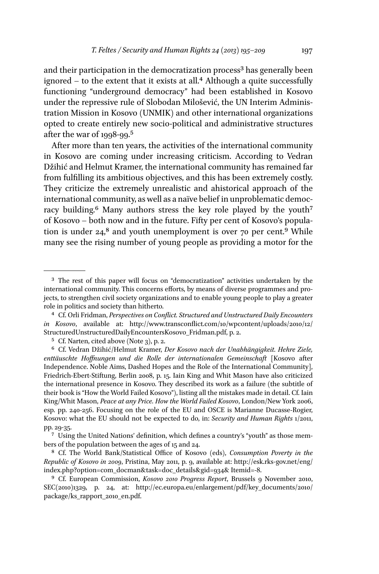and their participation in the democratization process<sup>3</sup> has generally been ignored – to the extent that it exists at all.<sup>4</sup> Although a quite successfully functioning "underground democracy" had been established in Kosovo under the repressive rule of Slobodan Milošević, the UN Interim Administration Mission in Kosovo (UNMIK) and other international organizations opted to create entirely new socio-political and administrative structures after the war of 1998-99.5

After more than ten years, the activities of the international community in Kosovo are coming under increasing criticism. According to Vedran Džihić and Helmut Kramer, the international community has remained far from fulfilling its ambitious objectives, and this has been extremely costly. They criticize the extremely unrealistic and ahistorical approach of the international community, as well as a naïve belief in unproblematic democracy building.6 Many authors stress the key role played by the youth7 of Kosovo – both now and in the future. Fifty per cent of Kosovo's population is under  $24$ <sup>8</sup> and youth unemployment is over 70 per cent.<sup>9</sup> While many see the rising number of young people as providing a motor for the

<sup>3</sup> The rest of this paper will focus on "democratization" activities undertaken by the international community. This concerns efforts, by means of diverse programmes and projects, to strengthen civil society organizations and to enable young people to play a greater role in politics and society than hitherto.

<sup>4</sup> Cf. Orli Fridman, *Perspectives on Conflict. Structured and Unstructured Daily Encounters in Kosovo*, available at: [http://www.transconflict.com/10/wpcontent/uploads/2010/12/](http://www.transconflict.com/10/wpcontent/uploads/2010/12/StructuredUnstructuredDailyEncountersKosovo_Fridman.pdf) [StructuredUnstructuredDailyEncountersKosovo\\_Fridman.pdf,](http://www.transconflict.com/10/wpcontent/uploads/2010/12/StructuredUnstructuredDailyEncountersKosovo_Fridman.pdf) p. 2.

<sup>5</sup> Cf. Narten, cited above (Note 3), p. 2.

<sup>6</sup> Cf. Vedran Džihić/Helmut Kramer, *Der Kosovo nach der Unabhängigkeit. Hehre Ziele, enttäuschte Hoffnungen und die Rolle der internationalen Gemeinschaft* [Kosovo after Independence. Noble Aims, Dashed Hopes and the Role of the International Community], Friedrich-Ebert-Stiftung, Berlin 2008, p. 15. Iain King and Whit Mason have also criticized the international presence in Kosovo. They described its work as a failure (the subtitle of their book is "How the World Failed Kosovo"), listing all the mistakes made in detail. Cf. Iain King/Whit Mason, *Peace at any Price. How the World Failed Kosovo*, London/New York 2006, esp. pp. 240-256. Focusing on the role of the EU and OSCE is Marianne Ducasse-Rogier, Kosovo: what the EU should not be expected to do, in: *Security and Human Rights* 1/2011, pp. 29-35.

<sup>7</sup> Using the United Nations' definition, which defines a country's "youth" as those members of the population between the ages of 15 and 24.

<sup>8</sup> Cf. The World Bank/Statistical Office of Kosovo (eds), *Consumption Poverty in the Republic of Kosovo in 2009*, Pristina, May 2011, p. 9, available at: [http://esk.rks-gov.net/eng/](http://esk.rks-gov.net/eng/index.php?option=com_docman&task=doc_details&gid=934&Itemid=-8) [index.php?option=com\\_docman&task=doc\\_details&gid=934& Itemid=-8.](http://esk.rks-gov.net/eng/index.php?option=com_docman&task=doc_details&gid=934&Itemid=-8)

<sup>9</sup> Cf. European Commission, *Kosovo 2010 Progress Report*, Brussels 9 November 2010, SEC(2010)1329, p. 24, at: [http://ec.europa.eu/enlargement/pdf/key\\_documents/2010/](http://ec.europa.eu/enlargement/pdf/key_documents/2010/package/ks_rapport_2010_en.pdf) [package/ks\\_rapport\\_2010\\_en.pdf.](http://ec.europa.eu/enlargement/pdf/key_documents/2010/package/ks_rapport_2010_en.pdf)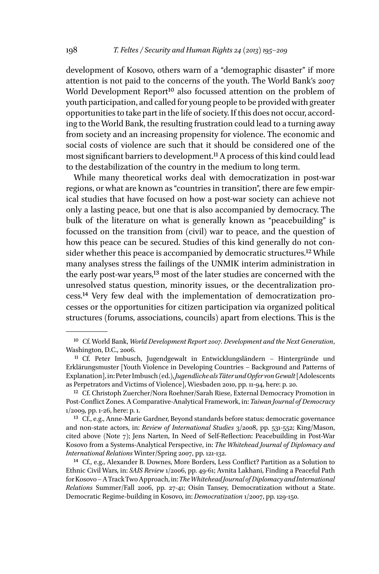development of Kosovo, others warn of a "demographic disaster" if more attention is not paid to the concerns of the youth. The World Bank's 2007 World Development Report<sup>10</sup> also focussed attention on the problem of youth participation, and called for young people to be provided with greater opportunities to take part in the life of society. If this does not occur, according to the World Bank, the resulting frustration could lead to a turning away from society and an increasing propensity for violence. The economic and social costs of violence are such that it should be considered one of the most significant barriers to development.11 A process of this kind could lead to the destabilization of the country in the medium to long term.

While many theoretical works deal with democratization in post-war regions, or what are known as "countries in transition", there are few empirical studies that have focused on how a post-war society can achieve not only a lasting peace, but one that is also accompanied by democracy. The bulk of the literature on what is generally known as "peacebuilding" is focussed on the transition from (civil) war to peace, and the question of how this peace can be secured. Studies of this kind generally do not consider whether this peace is accompanied by democratic structures.<sup>12</sup> While many analyses stress the failings of the UNMIK interim administration in the early post-war years,13 most of the later studies are concerned with the unresolved status question, minority issues, or the decentralization process.14 Very few deal with the implementation of democratization processes or the opportunities for citizen participation via organized political structures (forums, associations, councils) apart from elections. This is the

<sup>10</sup> Cf. World Bank, *World Development Report 2007. Development and the Next Generation*, Washington, D.C., 2006.

<sup>11</sup> Cf. Peter Imbusch, Jugendgewalt in Entwicklungsländern – Hintergründe und Erklärungsmuster [Youth Violence in Developing Countries – Background and Patterns of Explanation], in: Peter Imbusch (ed.), *Jugendliche als Täter und Opfer von Gewalt* [Adolescents as Perpetrators and Victims of Violence], Wiesbaden 2010, pp. 11-94, here: p. 20.

<sup>&</sup>lt;sup>12</sup> Cf. Christoph Zuercher/Nora Roehner/Sarah Riese, External Democracy Promotion in Post-Conflict Zones. A Comparative-Analytical Framework, in: *Taiwan Journal of Democracy* 1/2009, pp. 1-26, here: p. 1.

<sup>&</sup>lt;sup>13</sup> Cf., e.g., Anne-Marie Gardner, Beyond standards before status: democratic governance and non-state actors, in: *Review of International Studies* 3/2008, pp. 531-552; King/Mason, cited above (Note 7); Jens Narten, In Need of Self-Reflection: Peacebuilding in Post-War Kosovo from a Systems-Analytical Perspective, in: *The Whitehead Journal of Diplomacy and International Relations* Winter/Spring 2007, pp. 121-132.

<sup>14</sup> Cf., e.g., Alexander B. Downes, More Borders, Less Conflict? Partition as a Solution to Ethnic Civil Wars, in: *SAIS Review* 1/2006, pp. 49-61; Avnita Lakhani, Finding a Peaceful Path for Kosovo – A Track Two Approach, in: *The Whitehead Journal of Diplomacy and International Relations* Summer/Fall 2006, pp. 27-41; Oisín Tansey, Democratization without a State. Democratic Regime-building in Kosovo, in: *Democratization* 1/2007, pp. 129-150.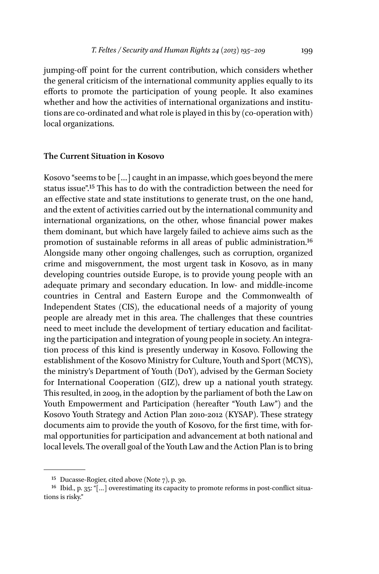jumping-off point for the current contribution, which considers whether the general criticism of the international community applies equally to its efforts to promote the participation of young people. It also examines whether and how the activities of international organizations and institutions are co-ordinated and what role is played in this by (co-operation with) local organizations.

#### **The Current Situation in Kosovo**

Kosovo "seems to be […] caught in an impasse, which goes beyond the mere status issue".15 This has to do with the contradiction between the need for an effective state and state institutions to generate trust, on the one hand, and the extent of activities carried out by the international community and international organizations, on the other, whose financial power makes them dominant, but which have largely failed to achieve aims such as the promotion of sustainable reforms in all areas of public administration.16 Alongside many other ongoing challenges, such as corruption, organized crime and misgovernment, the most urgent task in Kosovo, as in many developing countries outside Europe, is to provide young people with an adequate primary and secondary education. In low- and middle-income countries in Central and Eastern Europe and the Commonwealth of Independent States (CIS), the educational needs of a majority of young people are already met in this area. The challenges that these countries need to meet include the development of tertiary education and facilitating the participation and integration of young people in society. An integration process of this kind is presently underway in Kosovo. Following the establishment of the Kosovo Ministry for Culture, Youth and Sport (MCYS), the ministry's Department of Youth (DoY), advised by the German Society for International Cooperation (GIZ), drew up a national youth strategy. This resulted, in 2009, in the adoption by the parliament of both the Law on Youth Empowerment and Participation (hereafter "Youth Law") and the Kosovo Youth Strategy and Action Plan 2010-2012 (KYSAP). These strategy documents aim to provide the youth of Kosovo, for the first time, with formal opportunities for participation and advancement at both national and local levels. The overall goal of the Youth Law and the Action Plan is to bring

<sup>15</sup> Ducasse-Rogier, cited above (Note 7), p. 30.

<sup>16</sup> Ibid., p. 35: "[...] overestimating its capacity to promote reforms in post-conflict situations is risky."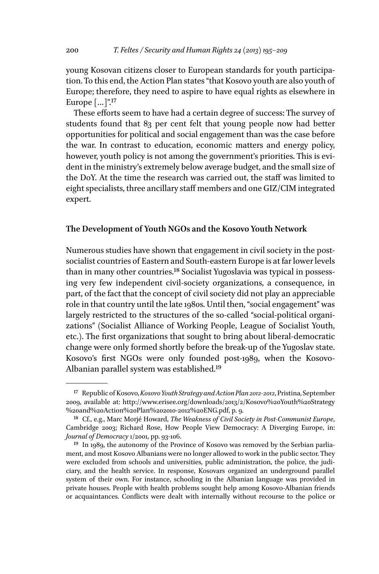young Kosovan citizens closer to European standards for youth participation. To this end, the Action Plan states "that Kosovo youth are also youth of Europe; therefore, they need to aspire to have equal rights as elsewhere in Europe […]".17

These efforts seem to have had a certain degree of success: The survey of students found that 83 per cent felt that young people now had better opportunities for political and social engagement than was the case before the war. In contrast to education, economic matters and energy policy, however, youth policy is not among the government's priorities. This is evident in the ministry's extremely below average budget, and the small size of the DoY. At the time the research was carried out, the staff was limited to eight specialists, three ancillary staff members and one GIZ/CIM integrated expert.

#### **The Development of Youth NGOs and the Kosovo Youth Network**

Numerous studies have shown that engagement in civil society in the postsocialist countries of Eastern and South-eastern Europe is at far lower levels than in many other countries.<sup>18</sup> Socialist Yugoslavia was typical in possessing very few independent civil-society organizations, a consequence, in part, of the fact that the concept of civil society did not play an appreciable role in that country until the late 1980s. Until then, "social engagement" was largely restricted to the structures of the so-called "social-political organizations" (Socialist Alliance of Working People, League of Socialist Youth, etc.). The first organizations that sought to bring about liberal-democratic change were only formed shortly before the break-up of the Yugoslav state. Kosovo's first NGOs were only founded post-1989, when the Kosovo-Albanian parallel system was established.19

<sup>17</sup> Republic of Kosovo, *Kosovo Youth Strategy and Action Plan 2012-2012*, Pristina, September 2009, available at: [http://www.erisee.org/downloads/2013/2/Kosovo%20Youth%20Strategy](http://www.erisee.org/downloads/2013/2/Kosovo%20Youth%20Strategy%20and%20Action%20Plan%202010-2012%20ENG.pdf) [%20and%20Action%20Plan%202010-2012%20ENG.pdf,](http://www.erisee.org/downloads/2013/2/Kosovo%20Youth%20Strategy%20and%20Action%20Plan%202010-2012%20ENG.pdf) p. 9.

<sup>18</sup> Cf., e.g., Marc Morjé Howard, *The Weakness of Civil Society in Post-Communist Europe*, Cambridge 2003; Richard Rose, How People View Democracy: A Diverging Europe, in: *Journal of Democracy* 1/2001, pp. 93-106.

<sup>19</sup> In 1989, the autonomy of the Province of Kosovo was removed by the Serbian parliament, and most Kosovo Albanians were no longer allowed to work in the public sector. They were excluded from schools and universities, public administration, the police, the judiciary, and the health service. In response, Kosovars organized an underground parallel system of their own. For instance, schooling in the Albanian language was provided in private houses. People with health problems sought help among Kosovo-Albanian friends or acquaintances. Conflicts were dealt with internally without recourse to the police or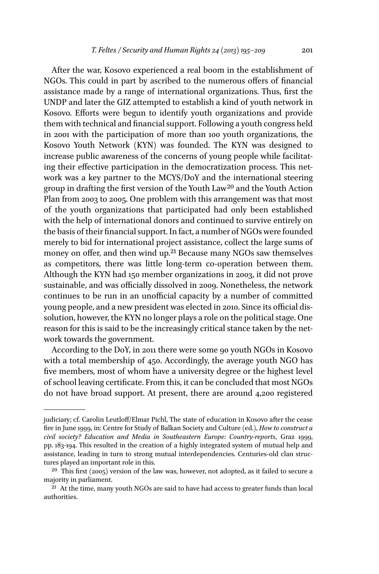After the war, Kosovo experienced a real boom in the establishment of NGOs. This could in part by ascribed to the numerous offers of financial assistance made by a range of international organizations. Thus, first the UNDP and later the GIZ attempted to establish a kind of youth network in Kosovo. Efforts were begun to identify youth organizations and provide them with technical and financial support. Following a youth congress held in 2001 with the participation of more than 100 youth organizations, the Kosovo Youth Network (KYN) was founded. The KYN was designed to increase public awareness of the concerns of young people while facilitating their effective participation in the democratization process. This network was a key partner to the MCYS/DoY and the international steering group in drafting the first version of the Youth Law20 and the Youth Action Plan from 2003 to 2005. One problem with this arrangement was that most of the youth organizations that participated had only been established with the help of international donors and continued to survive entirely on the basis of their financial support. In fact, a number of NGOs were founded merely to bid for international project assistance, collect the large sums of money on offer, and then wind up.21 Because many NGOs saw themselves as competitors, there was little long-term co-operation between them. Although the KYN had 150 member organizations in 2003, it did not prove sustainable, and was officially dissolved in 2009. Nonetheless, the network continues to be run in an unofficial capacity by a number of committed young people, and a new president was elected in 2010. Since its official dissolution, however, the KYN no longer plays a role on the political stage. One reason for this is said to be the increasingly critical stance taken by the network towards the government.

According to the DoY, in 2011 there were some 90 youth NGOs in Kosovo with a total membership of 450. Accordingly, the average youth NGO has five members, most of whom have a university degree or the highest level of school leaving certificate. From this, it can be concluded that most NGOs do not have broad support. At present, there are around 4,200 registered

judiciary; cf. Carolin Leutloff/Elmar Pichl, The state of education in Kosovo after the cease fire in June 1999, in: Centre for Study of Balkan Society and Culture (ed.), *How to construct a civil society? Education and Media in Southeastern Europe: Country-reports*, Graz 1999, pp. 183-194. This resulted in the creation of a highly integrated system of mutual help and assistance, leading in turn to strong mutual interdependencies. Centuries-old clan structures played an important role in this.

<sup>&</sup>lt;sup>20</sup> This first (2005) version of the law was, however, not adopted, as it failed to secure a majority in parliament.

<sup>&</sup>lt;sup>21</sup> At the time, many youth NGOs are said to have had access to greater funds than local authorities.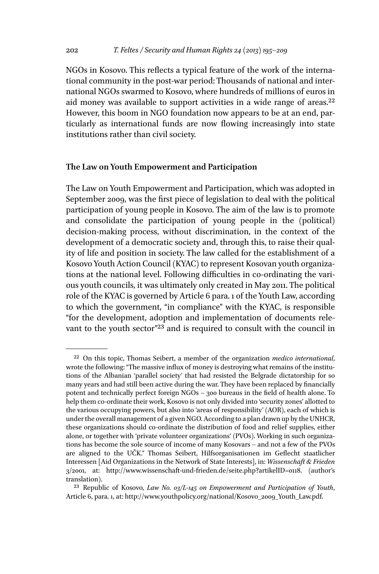NGOs in Kosovo. This reflects a typical feature of the work of the international community in the post-war period: Thousands of national and international NGOs swarmed to Kosovo, where hundreds of millions of euros in aid money was available to support activities in a wide range of areas. $22$ However, this boom in NGO foundation now appears to be at an end, particularly as international funds are now flowing increasingly into state institutions rather than civil society.

## **The Law on Youth Empowerment and Participation**

The Law on Youth Empowerment and Participation, which was adopted in September 2009, was the first piece of legislation to deal with the political participation of young people in Kosovo. The aim of the law is to promote and consolidate the participation of young people in the (political) decision-making process, without discrimination, in the context of the development of a democratic society and, through this, to raise their quality of life and position in society. The law called for the establishment of a Kosovo Youth Action Council (KYAC) to represent Kosovan youth organizations at the national level. Following difficulties in co-ordinating the various youth councils, it was ultimately only created in May 2011. The political role of the KYAC is governed by Article 6 para. 1 of the Youth Law, according to which the government, "in compliance" with the KYAC, is responsible "for the development, adoption and implementation of documents relevant to the youth sector"23 and is required to consult with the council in

<sup>22</sup> On this topic, Thomas Seibert, a member of the organization *medico international*, wrote the following: "The massive influx of money is destroying what remains of the institutions of the Albanian 'parallel society' that had resisted the Belgrade dictatorship for so many years and had still been active during the war. They have been replaced by financially potent and technically perfect foreign NGOs – 300 bureaus in the field of health alone. To help them co-ordinate their work, Kosovo is not only divided into 'security zones' allotted to the various occupying powers, but also into 'areas of responsibility' (AOR), each of which is under the overall management of a given NGO. According to a plan drawn up by the UNHCR, these organizations should co-ordinate the distribution of food and relief supplies, either alone, or together with 'private volunteer organizations' (PVOs). Working in such organizations has become the sole source of income of many Kosovars – and not a few of the PVOs are aligned to the UČK." Thomas Seibert, Hilfsorganisationen im Geflecht staatlicher Interessen [Aid Organizations in the Network of State Interests], in: *Wissenschaft & Frieden* 3/2001, at: <http://www.wissenschaft-und-frieden.de/seite.php?artikelID=0118>. (author's translation).

<sup>23</sup> Republic of Kosovo, *Law No. 03/L-145 on Empowerment and Participation of Youth*, Article 6, para. 1, at: [http://www.youthpolicy.org/national/Kosovo\\_2009\\_Youth\\_Law.pdf.](http://www.youthpolicy.org/national/Kosovo_2009_Youth_Law.pdf)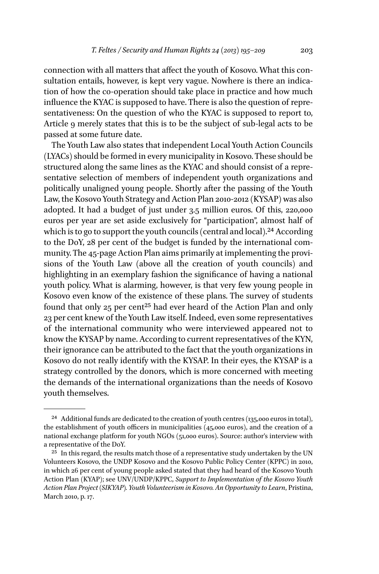connection with all matters that affect the youth of Kosovo. What this consultation entails, however, is kept very vague. Nowhere is there an indication of how the co-operation should take place in practice and how much influence the KYAC is supposed to have. There is also the question of representativeness: On the question of who the KYAC is supposed to report to, Article 9 merely states that this is to be the subject of sub-legal acts to be passed at some future date.

The Youth Law also states that independent Local Youth Action Councils (LYACs) should be formed in every municipality in Kosovo. These should be structured along the same lines as the KYAC and should consist of a representative selection of members of independent youth organizations and politically unaligned young people. Shortly after the passing of the Youth Law, the Kosovo Youth Strategy and Action Plan 2010-2012 (KYSAP) was also adopted. It had a budget of just under 3.5 million euros. Of this, 220,000 euros per year are set aside exclusively for "participation", almost half of which is to go to support the youth councils (central and local).<sup>24</sup> According to the DoY, 28 per cent of the budget is funded by the international community. The 45-page Action Plan aims primarily at implementing the provisions of the Youth Law (above all the creation of youth councils) and highlighting in an exemplary fashion the significance of having a national youth policy. What is alarming, however, is that very few young people in Kosovo even know of the existence of these plans. The survey of students found that only  $25$  per cent<sup>25</sup> had ever heard of the Action Plan and only 23 per cent knew of the Youth Law itself. Indeed, even some representatives of the international community who were interviewed appeared not to know the KYSAP by name. According to current representatives of the KYN, their ignorance can be attributed to the fact that the youth organizations in Kosovo do not really identify with the KYSAP. In their eyes, the KYSAP is a strategy controlled by the donors, which is more concerned with meeting the demands of the international organizations than the needs of Kosovo youth themselves.

<sup>&</sup>lt;sup>24</sup> Additional funds are dedicated to the creation of youth centres (135,000 euros in total), the establishment of youth officers in municipalities (45,000 euros), and the creation of a national exchange platform for youth NGOs (51,000 euros). Source: author's interview with a representative of the DoY.

<sup>&</sup>lt;sup>25</sup> In this regard, the results match those of a representative study undertaken by the UN Volunteers Kosovo, the UNDP Kosovo and the Kosovo Public Policy Center (KPPC) in 2010, in which 26 per cent of young people asked stated that they had heard of the Kosovo Youth Action Plan (KYAP); see UNV/UNDP/KPPC, *Support to Implementation of the Kosovo Youth Action Plan Project (SIKYAP). Youth Volunteerism in Kosovo. An Opportunity to Learn*, Pristina, March 2010, p. 17.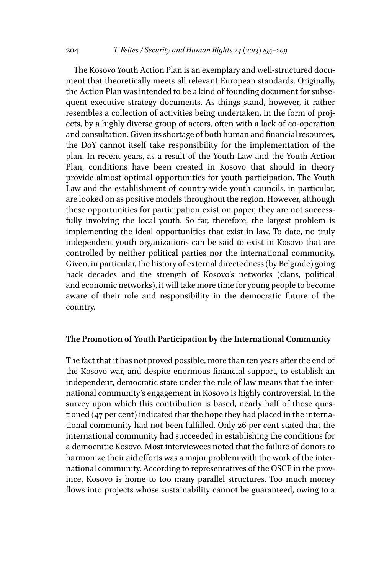The Kosovo Youth Action Plan is an exemplary and well-structured document that theoretically meets all relevant European standards. Originally, the Action Plan was intended to be a kind of founding document for subsequent executive strategy documents. As things stand, however, it rather resembles a collection of activities being undertaken, in the form of projects, by a highly diverse group of actors, often with a lack of co-operation and consultation. Given its shortage of both human and financial resources, the DoY cannot itself take responsibility for the implementation of the plan. In recent years, as a result of the Youth Law and the Youth Action Plan, conditions have been created in Kosovo that should in theory provide almost optimal opportunities for youth participation. The Youth Law and the establishment of country-wide youth councils, in particular, are looked on as positive models throughout the region. However, although these opportunities for participation exist on paper, they are not successfully involving the local youth. So far, therefore, the largest problem is implementing the ideal opportunities that exist in law. To date, no truly independent youth organizations can be said to exist in Kosovo that are controlled by neither political parties nor the international community. Given, in particular, the history of external directedness (by Belgrade) going back decades and the strength of Kosovo's networks (clans, political and economic networks), it will take more time for young people to become aware of their role and responsibility in the democratic future of the country.

## **The Promotion of Youth Participation by the International Community**

The fact that it has not proved possible, more than ten years after the end of the Kosovo war, and despite enormous financial support, to establish an independent, democratic state under the rule of law means that the international community's engagement in Kosovo is highly controversial. In the survey upon which this contribution is based, nearly half of those questioned (47 per cent) indicated that the hope they had placed in the international community had not been fulfilled. Only 26 per cent stated that the international community had succeeded in establishing the conditions for a democratic Kosovo. Most interviewees noted that the failure of donors to harmonize their aid efforts was a major problem with the work of the international community. According to representatives of the OSCE in the province, Kosovo is home to too many parallel structures. Too much money flows into projects whose sustainability cannot be guaranteed, owing to a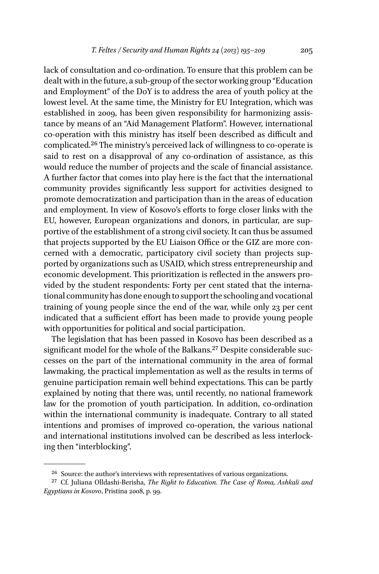lack of consultation and co-ordination. To ensure that this problem can be dealt with in the future, a sub-group of the sector working group "Education and Employment" of the DoY is to address the area of youth policy at the lowest level. At the same time, the Ministry for EU Integration, which was established in 2009, has been given responsibility for harmonizing assistance by means of an "Aid Management Platform". However, international co-operation with this ministry has itself been described as difficult and complicated.26 The ministry's perceived lack of willingness to co-operate is said to rest on a disapproval of any co-ordination of assistance, as this would reduce the number of projects and the scale of financial assistance. A further factor that comes into play here is the fact that the international community provides significantly less support for activities designed to promote democratization and participation than in the areas of education and employment. In view of Kosovo's efforts to forge closer links with the EU, however, European organizations and donors, in particular, are supportive of the establishment of a strong civil society. It can thus be assumed that projects supported by the EU Liaison Office or the GIZ are more concerned with a democratic, participatory civil society than projects supported by organizations such as USAID, which stress entrepreneurship and economic development. This prioritization is reflected in the answers provided by the student respondents: Forty per cent stated that the international community has done enough to support the schooling and vocational training of young people since the end of the war, while only 23 per cent indicated that a sufficient effort has been made to provide young people with opportunities for political and social participation.

The legislation that has been passed in Kosovo has been described as a significant model for the whole of the Balkans.<sup>27</sup> Despite considerable successes on the part of the international community in the area of formal lawmaking, the practical implementation as well as the results in terms of genuine participation remain well behind expectations. This can be partly explained by noting that there was, until recently, no national framework law for the promotion of youth participation. In addition, co-ordination within the international community is inadequate. Contrary to all stated intentions and promises of improved co-operation, the various national and international institutions involved can be described as less interlocking then "interblocking".

<sup>26</sup> Source: the author's interviews with representatives of various organizations.

<sup>27</sup> Cf. Juliana Olldashi-Berisha, *The Right to Education. The Case of Roma, Ashkali and Egyptians in Kosovo*, Pristina 2008, p. 99.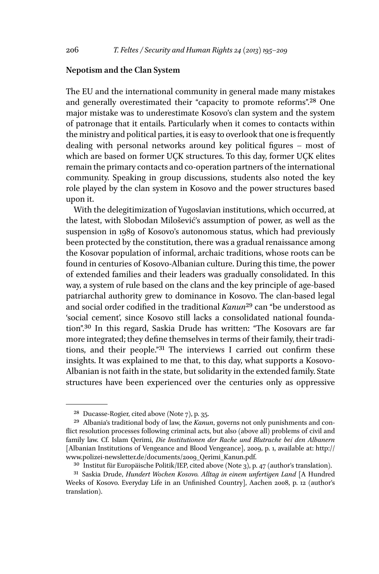## **Nepotism and the Clan System**

The EU and the international community in general made many mistakes and generally overestimated their "capacity to promote reforms".28 One major mistake was to underestimate Kosovo's clan system and the system of patronage that it entails. Particularly when it comes to contacts within the ministry and political parties, it is easy to overlook that one is frequently dealing with personal networks around key political figures – most of which are based on former UÇK structures. To this day, former UÇK elites remain the primary contacts and co-operation partners of the international community. Speaking in group discussions, students also noted the key role played by the clan system in Kosovo and the power structures based upon it.

With the delegitimization of Yugoslavian institutions, which occurred, at the latest, with Slobodan Milošević's assumption of power, as well as the suspension in 1989 of Kosovo's autonomous status, which had previously been protected by the constitution, there was a gradual renaissance among the Kosovar population of informal, archaic traditions, whose roots can be found in centuries of Kosovo-Albanian culture. During this time, the power of extended families and their leaders was gradually consolidated. In this way, a system of rule based on the clans and the key principle of age-based patriarchal authority grew to dominance in Kosovo. The clan-based legal and social order codified in the traditional *Kanun*29 can "be understood as 'social cement', since Kosovo still lacks a consolidated national foundation".30 In this regard, Saskia Drude has written: "The Kosovars are far more integrated; they define themselves in terms of their family, their traditions, and their people."31 The interviews I carried out confirm these insights. It was explained to me that, to this day, what supports a Kosovo-Albanian is not faith in the state, but solidarity in the extended family. State structures have been experienced over the centuries only as oppressive

<sup>28</sup> Ducasse-Rogier, cited above (Note 7), p. 35.

<sup>29</sup> Albania's traditional body of law, the *Kanun*, governs not only punishments and conflict resolution processes following criminal acts, but also (above all) problems of civil and family law. Cf. Islam Qerimi, *Die Institutionen der Rache und Blutrache bei den Albanern* [Albanian Institutions of Vengeance and Blood Vengeance], 2009, p. 1, available at: [http://](http://www.polizei-newsletter.de/documents/2009_Qerimi_Kanun.pdf) [www.polizei-newsletter.de/documents/2009\\_Qerimi\\_Kanun.pdf.](http://www.polizei-newsletter.de/documents/2009_Qerimi_Kanun.pdf)

<sup>30</sup> Institut für Europäische Politik/IEP, cited above (Note 3), p. 47 (author's translation).

<sup>31</sup> Saskia Drude, *Hundert Wochen Kosovo. Alltag in einem unfertigen Land* [A Hundred Weeks of Kosovo. Everyday Life in an Unfinished Country], Aachen 2008, p. 12 (author's translation).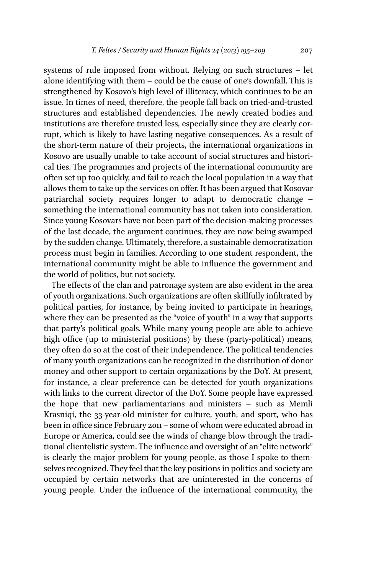systems of rule imposed from without. Relying on such structures – let alone identifying with them – could be the cause of one's downfall. This is strengthened by Kosovo's high level of illiteracy, which continues to be an issue. In times of need, therefore, the people fall back on tried-and-trusted structures and established dependencies. The newly created bodies and institutions are therefore trusted less, especially since they are clearly corrupt, which is likely to have lasting negative consequences. As a result of the short-term nature of their projects, the international organizations in Kosovo are usually unable to take account of social structures and historical ties. The programmes and projects of the international community are often set up too quickly, and fail to reach the local population in a way that allows them to take up the services on offer. It has been argued that Kosovar patriarchal society requires longer to adapt to democratic change – something the international community has not taken into consideration. Since young Kosovars have not been part of the decision-making processes of the last decade, the argument continues, they are now being swamped by the sudden change. Ultimately, therefore, a sustainable democratization process must begin in families. According to one student respondent, the international community might be able to influence the government and the world of politics, but not society.

The effects of the clan and patronage system are also evident in the area of youth organizations. Such organizations are often skillfully infiltrated by political parties, for instance, by being invited to participate in hearings, where they can be presented as the "voice of youth" in a way that supports that party's political goals. While many young people are able to achieve high office (up to ministerial positions) by these (party-political) means, they often do so at the cost of their independence. The political tendencies of many youth organizations can be recognized in the distribution of donor money and other support to certain organizations by the DoY. At present, for instance, a clear preference can be detected for youth organizations with links to the current director of the DoY. Some people have expressed the hope that new parliamentarians and ministers – such as Memli Krasniqi, the 33-year-old minister for culture, youth, and sport, who has been in office since February 2011 – some of whom were educated abroad in Europe or America, could see the winds of change blow through the traditional clientelistic system. The influence and oversight of an "elite network" is clearly the major problem for young people, as those I spoke to themselves recognized. They feel that the key positions in politics and society are occupied by certain networks that are uninterested in the concerns of young people. Under the influence of the international community, the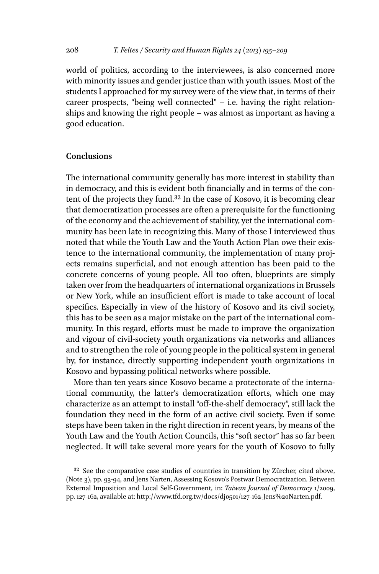world of politics, according to the interviewees, is also concerned more with minority issues and gender justice than with youth issues. Most of the students I approached for my survey were of the view that, in terms of their career prospects, "being well connected" – i.e. having the right relationships and knowing the right people – was almost as important as having a good education.

## **Conclusions**

The international community generally has more interest in stability than in democracy, and this is evident both financially and in terms of the content of the projects they fund.32 In the case of Kosovo, it is becoming clear that democratization processes are often a prerequisite for the functioning of the economy and the achievement of stability, yet the international community has been late in recognizing this. Many of those I interviewed thus noted that while the Youth Law and the Youth Action Plan owe their existence to the international community, the implementation of many projects remains superficial, and not enough attention has been paid to the concrete concerns of young people. All too often, blueprints are simply taken over from the headquarters of international organizations in Brussels or New York, while an insufficient effort is made to take account of local specifics. Especially in view of the history of Kosovo and its civil society, this has to be seen as a major mistake on the part of the international community. In this regard, efforts must be made to improve the organization and vigour of civil-society youth organizations via networks and alliances and to strengthen the role of young people in the political system in general by, for instance, directly supporting independent youth organizations in Kosovo and bypassing political networks where possible.

More than ten years since Kosovo became a protectorate of the international community, the latter's democratization efforts, which one may characterize as an attempt to install "off-the-shelf democracy", still lack the foundation they need in the form of an active civil society. Even if some steps have been taken in the right direction in recent years, by means of the Youth Law and the Youth Action Councils, this "soft sector" has so far been neglected. It will take several more years for the youth of Kosovo to fully

<sup>&</sup>lt;sup>32</sup> See the comparative case studies of countries in transition by Zürcher, cited above, (Note 3), pp. 93-94, and Jens Narten, Assessing Kosovo's Postwar Democratization. Between External Imposition and Local Self-Government, in: *Taiwan Journal of Democracy* 1/2009, pp. 127-162, available at: [http://www.tfd.org.tw/docs/dj0501/127-162-Jens%20Narten.pdf.](http://www.tfd.org.tw/docs/dj0501/127-162-Jens%20Narten.pdf)